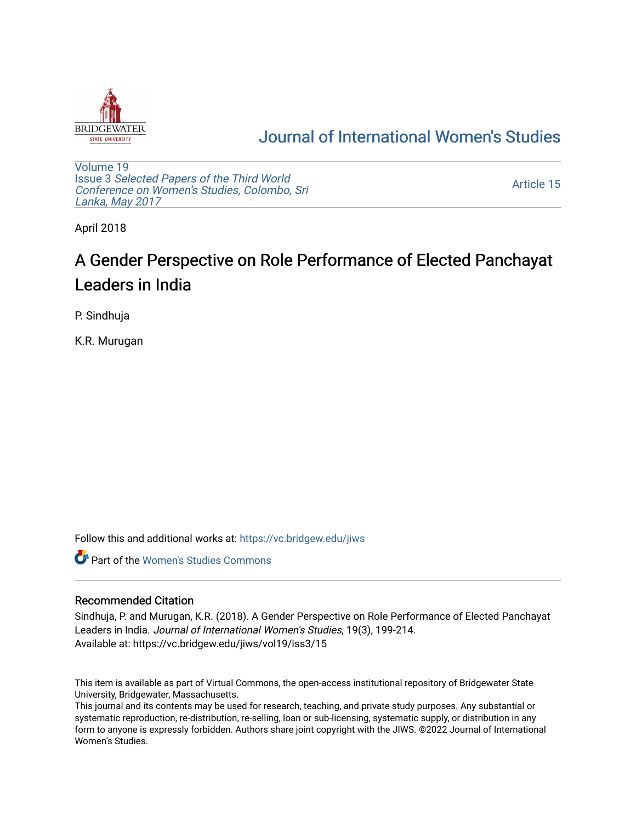

## [Journal of International Women's Studies](https://vc.bridgew.edu/jiws)

[Volume 19](https://vc.bridgew.edu/jiws/vol19) Issue 3 [Selected Papers of the Third World](https://vc.bridgew.edu/jiws/vol19/iss3) [Conference on Women's Studies, Colombo, Sri](https://vc.bridgew.edu/jiws/vol19/iss3)  [Lanka, May 2017](https://vc.bridgew.edu/jiws/vol19/iss3) 

[Article 15](https://vc.bridgew.edu/jiws/vol19/iss3/15) 

April 2018

# A Gender Perspective on Role Performance of Elected Panchayat Leaders in India

P. Sindhuja

K.R. Murugan

Follow this and additional works at: [https://vc.bridgew.edu/jiws](https://vc.bridgew.edu/jiws?utm_source=vc.bridgew.edu%2Fjiws%2Fvol19%2Fiss3%2F15&utm_medium=PDF&utm_campaign=PDFCoverPages)

**C** Part of the Women's Studies Commons

#### Recommended Citation

Sindhuja, P. and Murugan, K.R. (2018). A Gender Perspective on Role Performance of Elected Panchayat Leaders in India. Journal of International Women's Studies, 19(3), 199-214. Available at: https://vc.bridgew.edu/jiws/vol19/iss3/15

This item is available as part of Virtual Commons, the open-access institutional repository of Bridgewater State University, Bridgewater, Massachusetts.

This journal and its contents may be used for research, teaching, and private study purposes. Any substantial or systematic reproduction, re-distribution, re-selling, loan or sub-licensing, systematic supply, or distribution in any form to anyone is expressly forbidden. Authors share joint copyright with the JIWS. ©2022 Journal of International Women's Studies.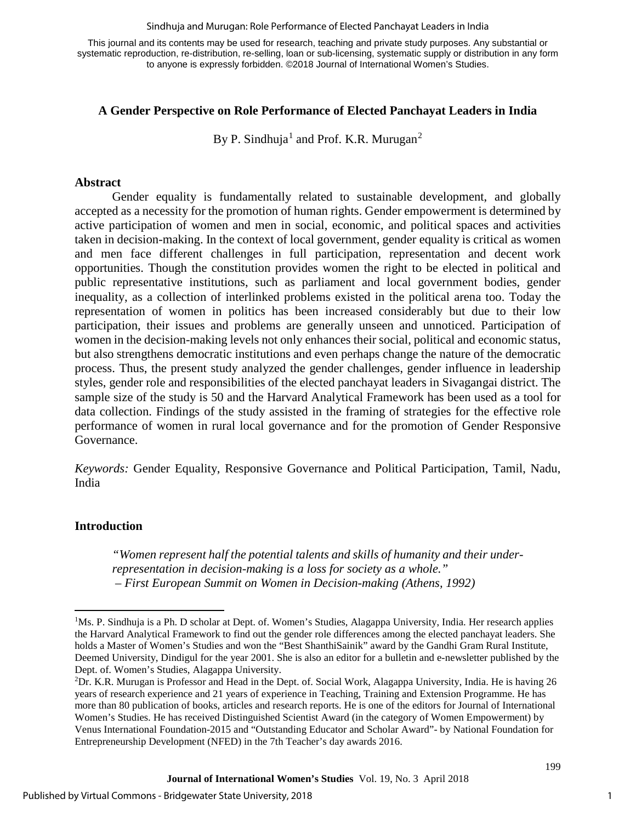#### Sindhuja and Murugan: Role Performance of Elected Panchayat Leaders in India

This journal and its contents may be used for research, teaching and private study purposes. Any substantial or systematic reproduction, re-distribution, re-selling, loan or sub-licensing, systematic supply or distribution in any form to anyone is expressly forbidden. ©2018 Journal of International Women's Studies.

#### **A Gender Perspective on Role Performance of Elected Panchayat Leaders in India**

By P. Sindhuja<sup>[1](#page-1-0)</sup> and Prof. K.R. Murugan<sup>[2](#page-1-1)</sup>

#### **Abstract**

Gender equality is fundamentally related to sustainable development, and globally accepted as a necessity for the promotion of human rights. Gender empowerment is determined by active participation of women and men in social, economic, and political spaces and activities taken in decision-making. In the context of local government, gender equality is critical as women and men face different challenges in full participation, representation and decent work opportunities. Though the constitution provides women the right to be elected in political and public representative institutions, such as parliament and local government bodies, gender inequality, as a collection of interlinked problems existed in the political arena too. Today the representation of women in politics has been increased considerably but due to their low participation, their issues and problems are generally unseen and unnoticed. Participation of women in the decision-making levels not only enhances their social, political and economic status, but also strengthens democratic institutions and even perhaps change the nature of the democratic process. Thus, the present study analyzed the gender challenges, gender influence in leadership styles, gender role and responsibilities of the elected panchayat leaders in Sivagangai district. The sample size of the study is 50 and the Harvard Analytical Framework has been used as a tool for data collection. Findings of the study assisted in the framing of strategies for the effective role performance of women in rural local governance and for the promotion of Gender Responsive Governance.

*Keywords:* Gender Equality, Responsive Governance and Political Participation, Tamil, Nadu, India

#### **Introduction**

 $\overline{\phantom{a}}$ 

*"Women represent half the potential talents and skills of humanity and their underrepresentation in decision-making is a loss for society as a whole." – First European Summit on Women in Decision-making (Athens, 1992)*

1

<span id="page-1-0"></span><sup>&</sup>lt;sup>1</sup>Ms. P. Sindhuja is a Ph. D scholar at Dept. of. Women's Studies, Alagappa University, India. Her research applies the Harvard Analytical Framework to find out the gender role differences among the elected panchayat leaders. She holds a Master of Women's Studies and won the "Best ShanthiSainik" award by the Gandhi Gram Rural Institute, Deemed University, Dindigul for the year 2001. She is also an editor for a bulletin and e-newsletter published by the Dept. of. Women's Studies, Alagappa University.

<span id="page-1-1"></span><sup>2</sup> Dr. K.R. Murugan is Professor and Head in the Dept. of. Social Work, Alagappa University, India. He is having 26 years of research experience and 21 years of experience in Teaching, Training and Extension Programme. He has more than 80 publication of books, articles and research reports. He is one of the editors for Journal of International Women's Studies. He has received Distinguished Scientist Award (in the category of Women Empowerment) by Venus International Foundation-2015 and "Outstanding Educator and Scholar Award"- by National Foundation for Entrepreneurship Development (NFED) in the 7th Teacher's day awards 2016.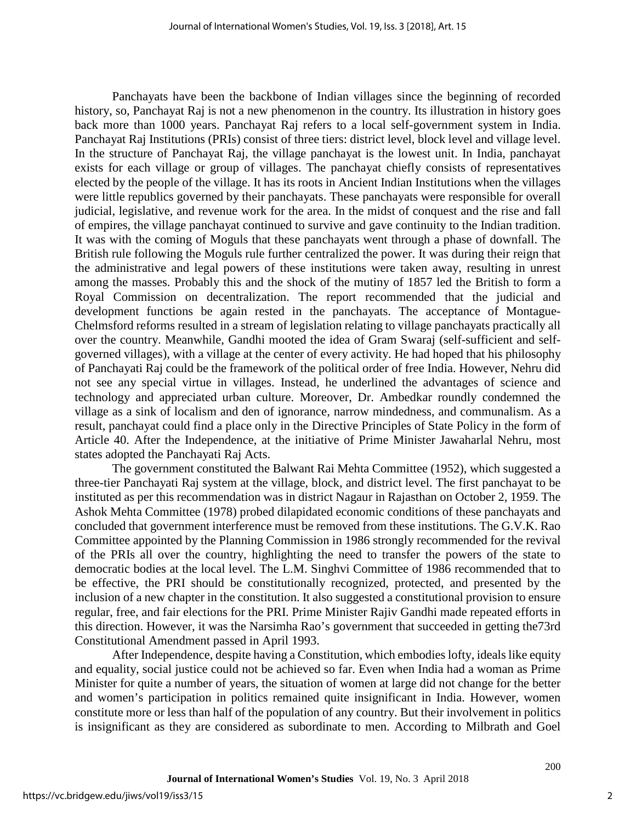Panchayats have been the backbone of Indian villages since the beginning of recorded history, so, Panchayat Raj is not a new phenomenon in the country. Its illustration in history goes back more than 1000 years. Panchayat Raj refers to a local self-government system in India. Panchayat Raj Institutions (PRIs) consist of three tiers: district level, block level and village level. In the structure of Panchayat Raj, the village panchayat is the lowest unit. In India, panchayat exists for each village or group of villages. The panchayat chiefly consists of representatives elected by the people of the village. It has its roots in Ancient Indian Institutions when the villages were little republics governed by their panchayats. These panchayats were responsible for overall judicial, legislative, and revenue work for the area. In the midst of conquest and the rise and fall of empires, the village panchayat continued to survive and gave continuity to the Indian tradition. It was with the coming of Moguls that these panchayats went through a phase of downfall. The British rule following the Moguls rule further centralized the power. It was during their reign that the administrative and legal powers of these institutions were taken away, resulting in unrest among the masses. Probably this and the shock of the mutiny of 1857 led the British to form a Royal Commission on decentralization. The report recommended that the judicial and development functions be again rested in the panchayats. The acceptance of Montague-Chelmsford reforms resulted in a stream of legislation relating to village panchayats practically all over the country. Meanwhile, Gandhi mooted the idea of Gram Swaraj (self-sufficient and selfgoverned villages), with a village at the center of every activity. He had hoped that his philosophy of Panchayati Raj could be the framework of the political order of free India. However, Nehru did not see any special virtue in villages. Instead, he underlined the advantages of science and technology and appreciated urban culture. Moreover, Dr. Ambedkar roundly condemned the village as a sink of localism and den of ignorance, narrow mindedness, and communalism. As a result, panchayat could find a place only in the Directive Principles of State Policy in the form of Article 40. After the Independence, at the initiative of Prime Minister Jawaharlal Nehru, most states adopted the Panchayati Raj Acts.

The government constituted the Balwant Rai Mehta Committee (1952), which suggested a three-tier Panchayati Raj system at the village, block, and district level. The first panchayat to be instituted as per this recommendation was in district Nagaur in Rajasthan on October 2, 1959. The Ashok Mehta Committee (1978) probed dilapidated economic conditions of these panchayats and concluded that government interference must be removed from these institutions. The G.V.K. Rao Committee appointed by the Planning Commission in 1986 strongly recommended for the revival of the PRIs all over the country, highlighting the need to transfer the powers of the state to democratic bodies at the local level. The L.M. Singhvi Committee of 1986 recommended that to be effective, the PRI should be constitutionally recognized, protected, and presented by the inclusion of a new chapter in the constitution. It also suggested a constitutional provision to ensure regular, free, and fair elections for the PRI. Prime Minister Rajiv Gandhi made repeated efforts in this direction. However, it was the Narsimha Rao's government that succeeded in getting the73rd Constitutional Amendment passed in April 1993.

After Independence, despite having a Constitution, which embodies lofty, ideals like equity and equality, social justice could not be achieved so far. Even when India had a woman as Prime Minister for quite a number of years, the situation of women at large did not change for the better and women's participation in politics remained quite insignificant in India. However, women constitute more or less than half of the population of any country. But their involvement in politics is insignificant as they are considered as subordinate to men. According to Milbrath and Goel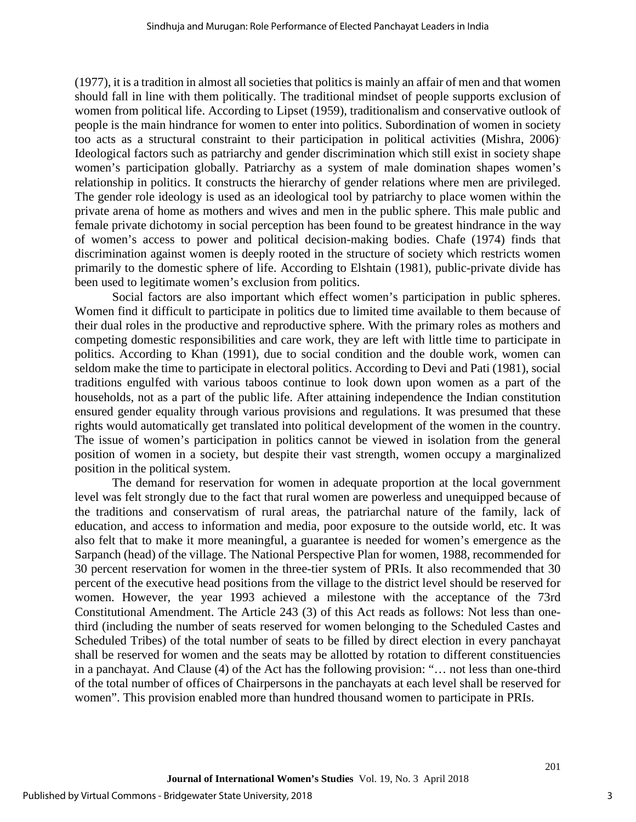(1977), it is a tradition in almost all societies that politics is mainly an affair of men and that women should fall in line with them politically. The traditional mindset of people supports exclusion of women from political life. According to Lipset (1959), traditionalism and conservative outlook of people is the main hindrance for women to enter into politics. Subordination of women in society too acts as a structural constraint to their participation in political activities (Mishra, 2006). Ideological factors such as patriarchy and gender discrimination which still exist in society shape women's participation globally. Patriarchy as a system of male domination shapes women's relationship in politics. It constructs the hierarchy of gender relations where men are privileged. The gender role ideology is used as an ideological tool by patriarchy to place women within the private arena of home as mothers and wives and men in the public sphere. This male public and female private dichotomy in social perception has been found to be greatest hindrance in the way of women's access to power and political decision-making bodies. Chafe (1974) finds that discrimination against women is deeply rooted in the structure of society which restricts women primarily to the domestic sphere of life. According to Elshtain (1981), public-private divide has been used to legitimate women's exclusion from politics.

Social factors are also important which effect women's participation in public spheres. Women find it difficult to participate in politics due to limited time available to them because of their dual roles in the productive and reproductive sphere. With the primary roles as mothers and competing domestic responsibilities and care work, they are left with little time to participate in politics. According to Khan (1991), due to social condition and the double work, women can seldom make the time to participate in electoral politics. According to Devi and Pati (1981), social traditions engulfed with various taboos continue to look down upon women as a part of the households, not as a part of the public life. After attaining independence the Indian constitution ensured gender equality through various provisions and regulations. It was presumed that these rights would automatically get translated into political development of the women in the country. The issue of women's participation in politics cannot be viewed in isolation from the general position of women in a society, but despite their vast strength, women occupy a marginalized position in the political system.

The demand for reservation for women in adequate proportion at the local government level was felt strongly due to the fact that rural women are powerless and unequipped because of the traditions and conservatism of rural areas, the patriarchal nature of the family, lack of education, and access to information and media, poor exposure to the outside world, etc. It was also felt that to make it more meaningful, a guarantee is needed for women's emergence as the Sarpanch (head) of the village. The National Perspective Plan for women, 1988, recommended for 30 percent reservation for women in the three-tier system of PRIs. It also recommended that 30 percent of the executive head positions from the village to the district level should be reserved for women. However, the year 1993 achieved a milestone with the acceptance of the 73rd Constitutional Amendment. The Article 243 (3) of this Act reads as follows: Not less than onethird (including the number of seats reserved for women belonging to the Scheduled Castes and Scheduled Tribes) of the total number of seats to be filled by direct election in every panchayat shall be reserved for women and the seats may be allotted by rotation to different constituencies in a panchayat. And Clause (4) of the Act has the following provision: "… not less than one-third of the total number of offices of Chairpersons in the panchayats at each level shall be reserved for women". This provision enabled more than hundred thousand women to participate in PRIs.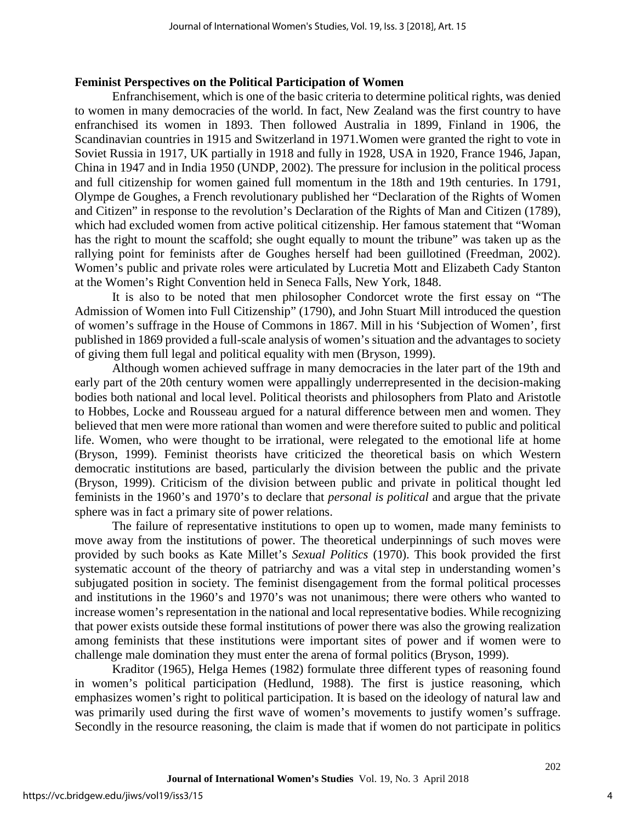#### **Feminist Perspectives on the Political Participation of Women**

Enfranchisement, which is one of the basic criteria to determine political rights, was denied to women in many democracies of the world. In fact, New Zealand was the first country to have enfranchised its women in 1893. Then followed Australia in 1899, Finland in 1906, the Scandinavian countries in 1915 and Switzerland in 1971.Women were granted the right to vote in Soviet Russia in 1917, UK partially in 1918 and fully in 1928, USA in 1920, France 1946, Japan, China in 1947 and in India 1950 (UNDP, 2002). The pressure for inclusion in the political process and full citizenship for women gained full momentum in the 18th and 19th centuries. In 1791, Olympe de Goughes, a French revolutionary published her "Declaration of the Rights of Women and Citizen" in response to the revolution's Declaration of the Rights of Man and Citizen (1789), which had excluded women from active political citizenship. Her famous statement that "Woman has the right to mount the scaffold; she ought equally to mount the tribune" was taken up as the rallying point for feminists after de Goughes herself had been guillotined (Freedman, 2002). Women's public and private roles were articulated by Lucretia Mott and Elizabeth Cady Stanton at the Women's Right Convention held in Seneca Falls, New York, 1848.

It is also to be noted that men philosopher Condorcet wrote the first essay on "The Admission of Women into Full Citizenship" (1790), and John Stuart Mill introduced the question of women's suffrage in the House of Commons in 1867. Mill in his 'Subjection of Women', first published in 1869 provided a full-scale analysis of women's situation and the advantages to society of giving them full legal and political equality with men (Bryson, 1999).

Although women achieved suffrage in many democracies in the later part of the 19th and early part of the 20th century women were appallingly underrepresented in the decision-making bodies both national and local level. Political theorists and philosophers from Plato and Aristotle to Hobbes, Locke and Rousseau argued for a natural difference between men and women. They believed that men were more rational than women and were therefore suited to public and political life. Women, who were thought to be irrational, were relegated to the emotional life at home (Bryson, 1999). Feminist theorists have criticized the theoretical basis on which Western democratic institutions are based, particularly the division between the public and the private (Bryson, 1999). Criticism of the division between public and private in political thought led feminists in the 1960's and 1970's to declare that *personal is political* and argue that the private sphere was in fact a primary site of power relations.

The failure of representative institutions to open up to women, made many feminists to move away from the institutions of power. The theoretical underpinnings of such moves were provided by such books as Kate Millet's *Sexual Politics* (1970). This book provided the first systematic account of the theory of patriarchy and was a vital step in understanding women's subjugated position in society. The feminist disengagement from the formal political processes and institutions in the 1960's and 1970's was not unanimous; there were others who wanted to increase women's representation in the national and local representative bodies. While recognizing that power exists outside these formal institutions of power there was also the growing realization among feminists that these institutions were important sites of power and if women were to challenge male domination they must enter the arena of formal politics (Bryson, 1999).

Kraditor (1965), Helga Hemes (1982) formulate three different types of reasoning found in women's political participation (Hedlund, 1988). The first is justice reasoning, which emphasizes women's right to political participation. It is based on the ideology of natural law and was primarily used during the first wave of women's movements to justify women's suffrage. Secondly in the resource reasoning, the claim is made that if women do not participate in politics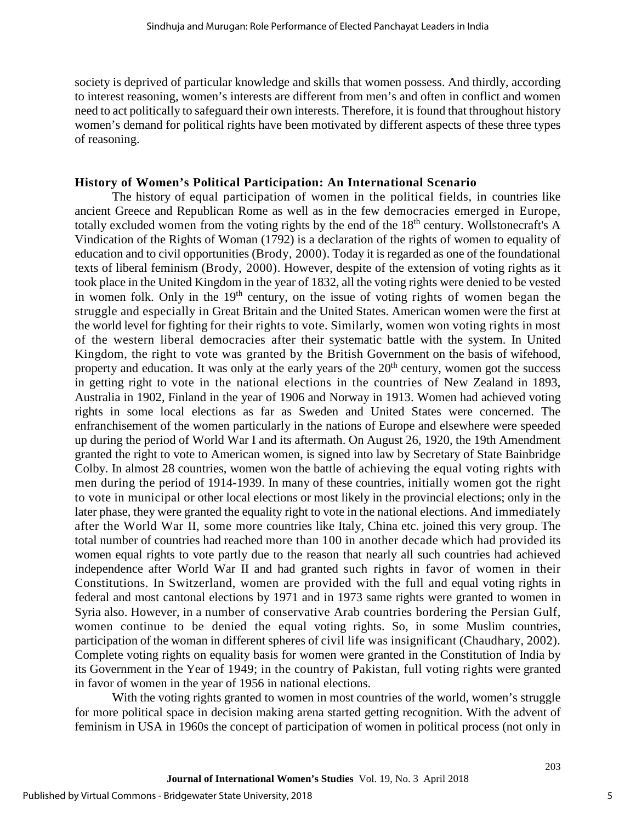society is deprived of particular knowledge and skills that women possess. And thirdly, according to interest reasoning, women's interests are different from men's and often in conflict and women need to act politically to safeguard their own interests. Therefore, it is found that throughout history women's demand for political rights have been motivated by different aspects of these three types of reasoning.

#### **History of Women's Political Participation: An International Scenario**

The history of equal participation of women in the political fields, in countries like ancient Greece and Republican Rome as well as in the few democracies emerged in Europe, totally excluded women from the voting rights by the end of the 18<sup>th</sup> century. Wollstonecraft's A Vindication of the Rights of Woman (1792) is a declaration of the rights of women to equality of education and to civil opportunities (Brody, 2000). Today it is regarded as one of the foundational texts of liberal feminism (Brody, 2000). However, despite of the extension of voting rights as it took place in the United Kingdom in the year of 1832, all the voting rights were denied to be vested in women folk. Only in the  $19<sup>th</sup>$  century, on the issue of voting rights of women began the struggle and especially in Great Britain and the United States. American women were the first at the world level for fighting for their rights to vote. Similarly, women won voting rights in most of the western liberal democracies after their systematic battle with the system. In United Kingdom, the right to vote was granted by the British Government on the basis of wifehood, property and education. It was only at the early years of the  $20<sup>th</sup>$  century, women got the success in getting right to vote in the national elections in the countries of New Zealand in 1893, Australia in 1902, Finland in the year of 1906 and Norway in 1913. Women had achieved voting rights in some local elections as far as Sweden and United States were concerned. The enfranchisement of the women particularly in the nations of Europe and elsewhere were speeded up during the period of World War I and its aftermath. On August 26, 1920, the 19th Amendment granted the right to vote to American women, is signed into law by Secretary of State Bainbridge Colby. In almost 28 countries, women won the battle of achieving the equal voting rights with men during the period of 1914-1939. In many of these countries, initially women got the right to vote in municipal or other local elections or most likely in the provincial elections; only in the later phase, they were granted the equality right to vote in the national elections. And immediately after the World War II, some more countries like Italy, China etc. joined this very group. The total number of countries had reached more than 100 in another decade which had provided its women equal rights to vote partly due to the reason that nearly all such countries had achieved independence after World War II and had granted such rights in favor of women in their Constitutions. In Switzerland, women are provided with the full and equal voting rights in federal and most cantonal elections by 1971 and in 1973 same rights were granted to women in Syria also. However, in a number of conservative Arab countries bordering the Persian Gulf, women continue to be denied the equal voting rights. So, in some Muslim countries, participation of the woman in different spheres of civil life was insignificant (Chaudhary, 2002). Complete voting rights on equality basis for women were granted in the Constitution of India by its Government in the Year of 1949; in the country of Pakistan, full voting rights were granted in favor of women in the year of 1956 in national elections.

With the voting rights granted to women in most countries of the world, women's struggle for more political space in decision making arena started getting recognition. With the advent of feminism in USA in 1960s the concept of participation of women in political process (not only in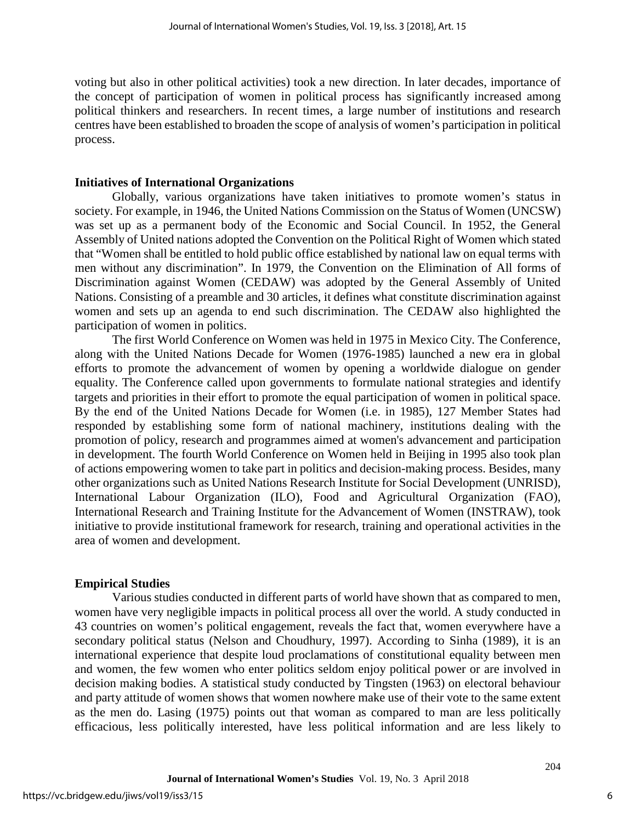voting but also in other political activities) took a new direction. In later decades, importance of the concept of participation of women in political process has significantly increased among political thinkers and researchers. In recent times, a large number of institutions and research centres have been established to broaden the scope of analysis of women's participation in political process.

#### **Initiatives of International Organizations**

Globally, various organizations have taken initiatives to promote women's status in society. For example, in 1946, the United Nations Commission on the Status of Women (UNCSW) was set up as a permanent body of the Economic and Social Council. In 1952, the General Assembly of United nations adopted the Convention on the Political Right of Women which stated that "Women shall be entitled to hold public office established by national law on equal terms with men without any discrimination". In 1979, the Convention on the Elimination of All forms of Discrimination against Women (CEDAW) was adopted by the General Assembly of United Nations. Consisting of a preamble and 30 articles, it defines what constitute discrimination against women and sets up an agenda to end such discrimination. The CEDAW also highlighted the participation of women in politics.

The first World Conference on Women was held in 1975 in Mexico City. The Conference, along with the United Nations Decade for Women (1976-1985) launched a new era in global efforts to promote the advancement of women by opening a worldwide dialogue on gender equality. The Conference called upon governments to formulate national strategies and identify targets and priorities in their effort to promote the equal participation of women in political space. By the end of the United Nations Decade for Women (i.e. in 1985), 127 Member States had responded by establishing some form of national machinery, institutions dealing with the promotion of policy, research and programmes aimed at women's advancement and participation in development. The fourth World Conference on Women held in Beijing in 1995 also took plan of actions empowering women to take part in politics and decision-making process. Besides, many other organizations such as United Nations Research Institute for Social Development (UNRISD), International Labour Organization (ILO), Food and Agricultural Organization (FAO), International Research and Training Institute for the Advancement of Women (INSTRAW), took initiative to provide institutional framework for research, training and operational activities in the area of women and development.

#### **Empirical Studies**

Various studies conducted in different parts of world have shown that as compared to men, women have very negligible impacts in political process all over the world. A study conducted in 43 countries on women's political engagement, reveals the fact that, women everywhere have a secondary political status (Nelson and Choudhury, 1997). According to Sinha (1989), it is an international experience that despite loud proclamations of constitutional equality between men and women, the few women who enter politics seldom enjoy political power or are involved in decision making bodies. A statistical study conducted by Tingsten (1963) on electoral behaviour and party attitude of women shows that women nowhere make use of their vote to the same extent as the men do. Lasing (1975) points out that woman as compared to man are less politically efficacious, less politically interested, have less political information and are less likely to

6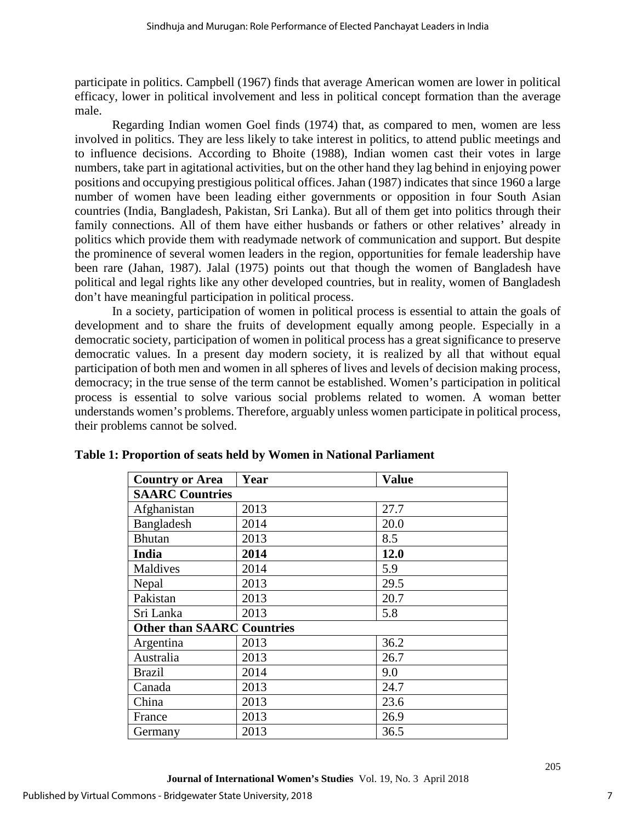participate in politics. Campbell (1967) finds that average American women are lower in political efficacy, lower in political involvement and less in political concept formation than the average male.

Regarding Indian women Goel finds (1974) that, as compared to men, women are less involved in politics. They are less likely to take interest in politics, to attend public meetings and to influence decisions. According to Bhoite (1988), Indian women cast their votes in large numbers, take part in agitational activities, but on the other hand they lag behind in enjoying power positions and occupying prestigious political offices. Jahan (1987) indicates that since 1960 a large number of women have been leading either governments or opposition in four South Asian countries (India, Bangladesh, Pakistan, Sri Lanka). But all of them get into politics through their family connections. All of them have either husbands or fathers or other relatives' already in politics which provide them with readymade network of communication and support. But despite the prominence of several women leaders in the region, opportunities for female leadership have been rare (Jahan, 1987). Jalal (1975) points out that though the women of Bangladesh have political and legal rights like any other developed countries, but in reality, women of Bangladesh don't have meaningful participation in political process.

In a society, participation of women in political process is essential to attain the goals of development and to share the fruits of development equally among people. Especially in a democratic society, participation of women in political process has a great significance to preserve democratic values. In a present day modern society, it is realized by all that without equal participation of both men and women in all spheres of lives and levels of decision making process, democracy; in the true sense of the term cannot be established. Women's participation in political process is essential to solve various social problems related to women. A woman better understands women's problems. Therefore, arguably unless women participate in political process, their problems cannot be solved.

| <b>Country or Area</b>            | Year | <b>Value</b> |
|-----------------------------------|------|--------------|
| <b>SAARC Countries</b>            |      |              |
| Afghanistan                       | 2013 | 27.7         |
| Bangladesh                        | 2014 | 20.0         |
| <b>Bhutan</b>                     | 2013 | 8.5          |
| <b>India</b>                      | 2014 | 12.0         |
| Maldives                          | 2014 | 5.9          |
| Nepal                             | 2013 | 29.5         |
| Pakistan                          | 2013 | 20.7         |
| Sri Lanka                         | 2013 | 5.8          |
| <b>Other than SAARC Countries</b> |      |              |
| Argentina                         | 2013 | 36.2         |
| Australia                         | 2013 | 26.7         |
| <b>Brazil</b>                     | 2014 | 9.0          |
| Canada                            | 2013 | 24.7         |
| China                             | 2013 | 23.6         |
| France                            | 2013 | 26.9         |
| Germany                           | 2013 | 36.5         |

| Table 1: Proportion of seats held by Women in National Parliament |  |  |
|-------------------------------------------------------------------|--|--|
|                                                                   |  |  |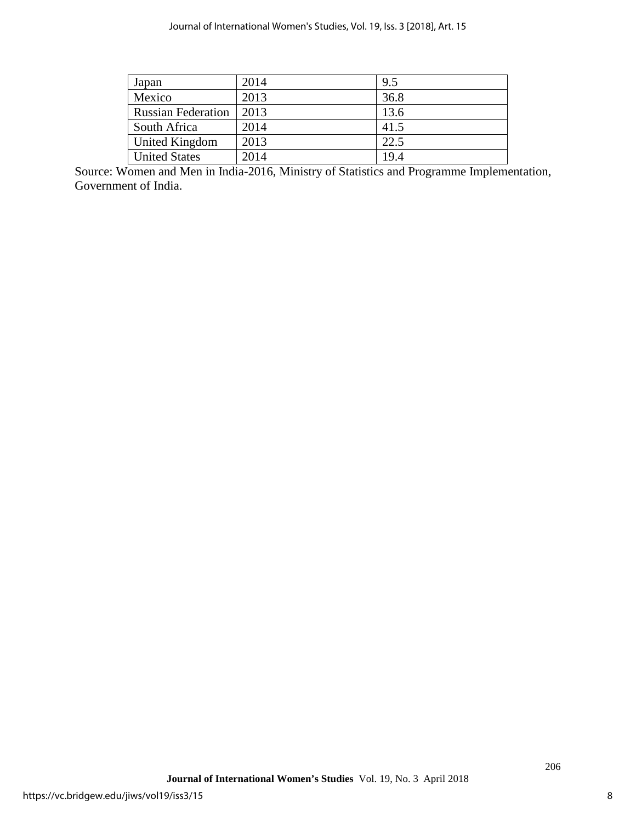| Japan                     | 2014 | 9.5  |
|---------------------------|------|------|
| Mexico                    | 2013 | 36.8 |
| <b>Russian Federation</b> | 2013 | 13.6 |
| South Africa              | 2014 | 41.5 |
| United Kingdom            | 2013 | 22.5 |
| <b>United States</b>      | 2014 | 19.4 |

Source: Women and Men in India-2016, Ministry of Statistics and Programme Implementation, Government of India.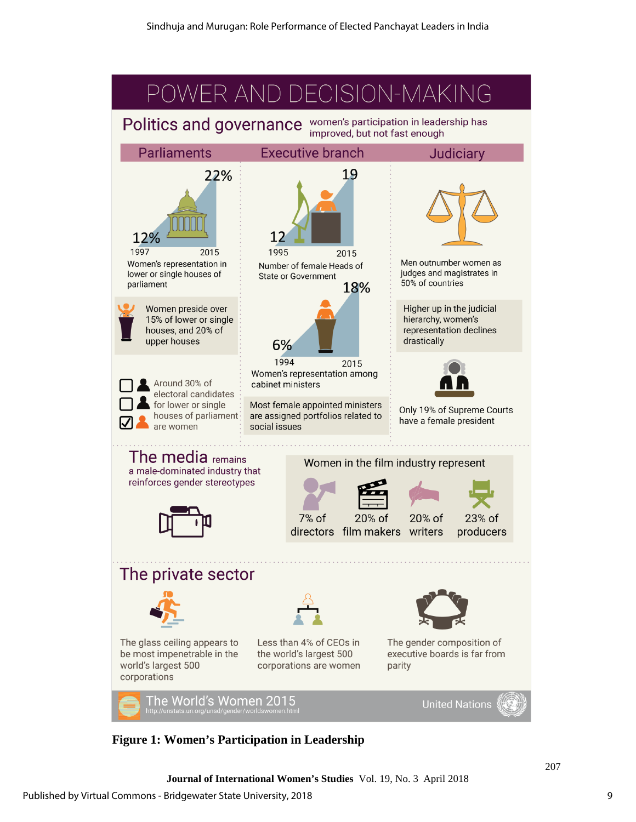

**Figure 1: Women's Participation in Leadership**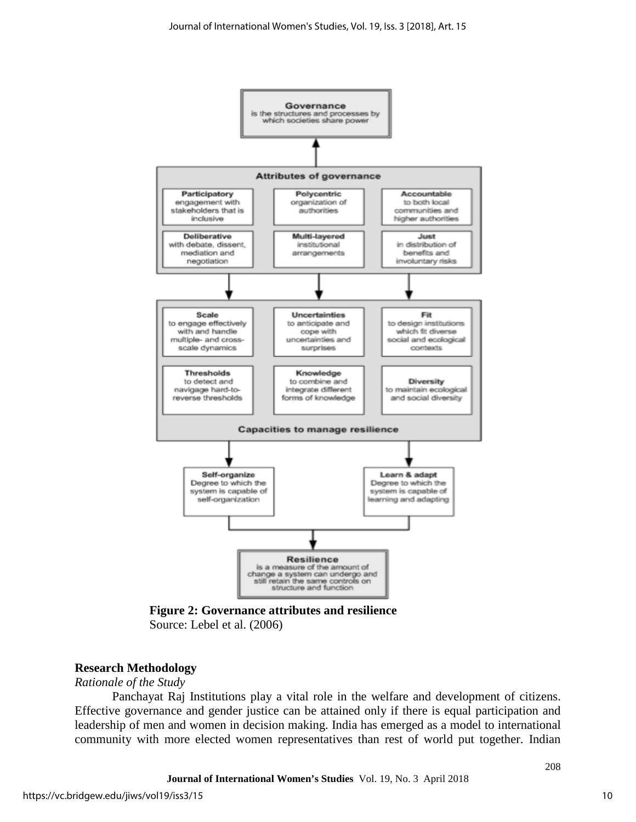

**Figure 2: Governance attributes and resilience** Source: Lebel et al. (2006)

#### **Research Methodology**

#### *Rationale of the Study*

Panchayat Raj Institutions play a vital role in the welfare and development of citizens. Effective governance and gender justice can be attained only if there is equal participation and leadership of men and women in decision making. India has emerged as a model to international community with more elected women representatives than rest of world put together. Indian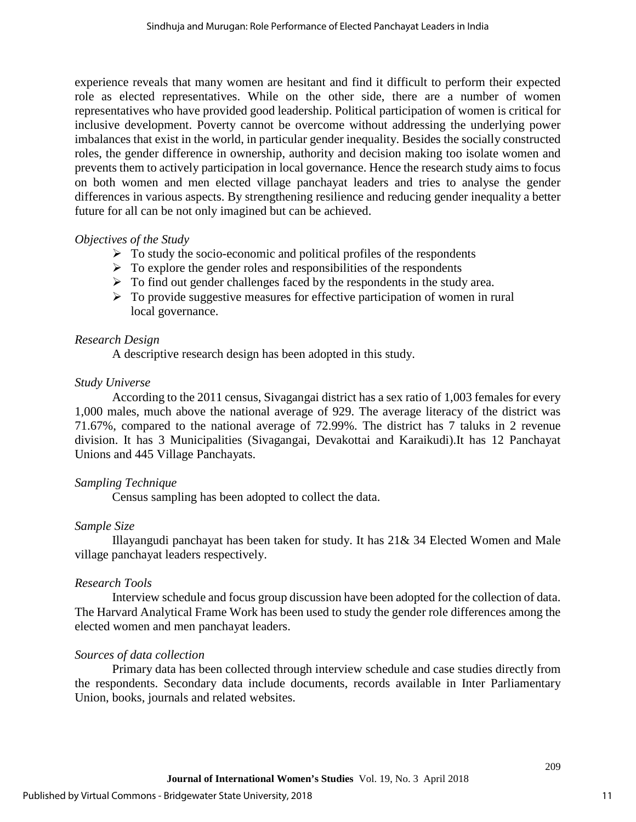experience reveals that many women are hesitant and find it difficult to perform their expected role as elected representatives. While on the other side, there are a number of women representatives who have provided good leadership. Political participation of women is critical for inclusive development. Poverty cannot be overcome without addressing the underlying power imbalances that exist in the world, in particular gender inequality. Besides the socially constructed roles, the gender difference in ownership, authority and decision making too isolate women and prevents them to actively participation in local governance. Hence the research study aims to focus on both women and men elected village panchayat leaders and tries to analyse the gender differences in various aspects. By strengthening resilience and reducing gender inequality a better future for all can be not only imagined but can be achieved.

#### *Objectives of the Study*

- $\triangleright$  To study the socio-economic and political profiles of the respondents
- $\triangleright$  To explore the gender roles and responsibilities of the respondents
- $\triangleright$  To find out gender challenges faced by the respondents in the study area.
- $\triangleright$  To provide suggestive measures for effective participation of women in rural local governance.

#### *Research Design*

A descriptive research design has been adopted in this study.

#### *Study Universe*

According to the 2011 census, Sivagangai district has a sex ratio of 1,003 females for every 1,000 males, much above the national average of 929. The average literacy of the district was 71.67%, compared to the national average of 72.99%. The district has 7 taluks in 2 revenue division. It has 3 Municipalities (Sivagangai, Devakottai and Karaikudi).It has 12 Panchayat Unions and 445 Village Panchayats.

#### *Sampling Technique*

Census sampling has been adopted to collect the data.

#### *Sample Size*

Illayangudi panchayat has been taken for study. It has 21& 34 Elected Women and Male village panchayat leaders respectively.

#### *Research Tools*

Interview schedule and focus group discussion have been adopted for the collection of data. The Harvard Analytical Frame Work has been used to study the gender role differences among the elected women and men panchayat leaders.

#### *Sources of data collection*

Primary data has been collected through interview schedule and case studies directly from the respondents. Secondary data include documents, records available in Inter Parliamentary Union, books, journals and related websites.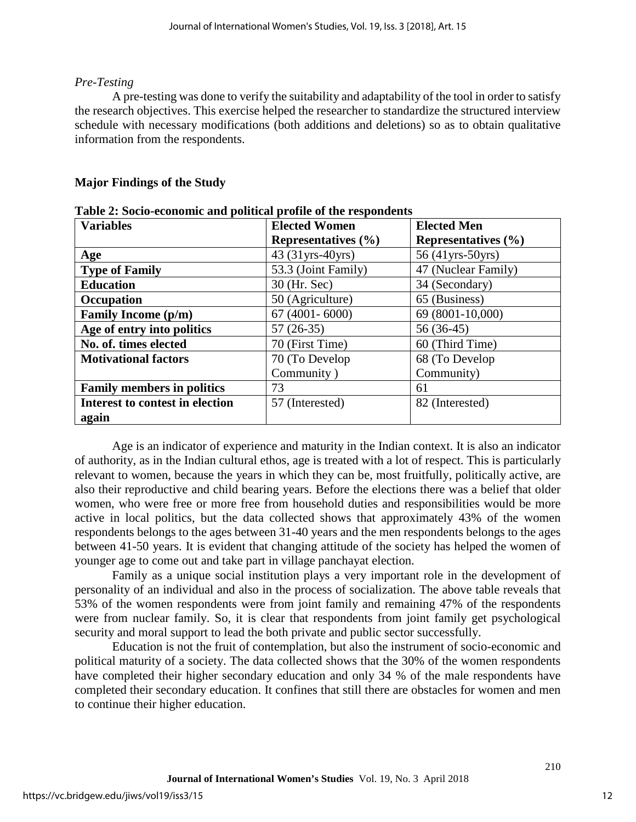#### *Pre-Testing*

A pre-testing was done to verify the suitability and adaptability of the tool in order to satisfy the research objectives. This exercise helped the researcher to standardize the structured interview schedule with necessary modifications (both additions and deletions) so as to obtain qualitative information from the respondents.

### **Major Findings of the Study**

| $\blacktriangle$ , socio coonomic and political promote or the respondents<br><b>Variables</b> | <b>Elected Women</b>    | <b>Elected Men</b>         |
|------------------------------------------------------------------------------------------------|-------------------------|----------------------------|
|                                                                                                | Representatives $(\% )$ | <b>Representatives</b> (%) |
| Age                                                                                            | 43 (31yrs-40yrs)        | 56 (41yrs-50yrs)           |
| <b>Type of Family</b>                                                                          | 53.3 (Joint Family)     | 47 (Nuclear Family)        |
| <b>Education</b>                                                                               | 30 (Hr. Sec)            | 34 (Secondary)             |
| Occupation                                                                                     | 50 (Agriculture)        | 65 (Business)              |
| <b>Family Income (p/m)</b>                                                                     | $67(4001 - 6000)$       | 69 (8001-10,000)           |
| Age of entry into politics                                                                     | $57(26-35)$             | $56(36-45)$                |
| No. of. times elected                                                                          | 70 (First Time)         | 60 (Third Time)            |
| <b>Motivational factors</b>                                                                    | 70 (To Develop          | 68 (To Develop             |
|                                                                                                | Community)              | Community)                 |
| <b>Family members in politics</b>                                                              | 73                      | 61                         |
| Interest to contest in election                                                                | 57 (Interested)         | 82 (Interested)            |
| again                                                                                          |                         |                            |

**Table 2: Socio-economic and political profile of the respondents**

Age is an indicator of experience and maturity in the Indian context. It is also an indicator of authority, as in the Indian cultural ethos, age is treated with a lot of respect. This is particularly relevant to women, because the years in which they can be, most fruitfully, politically active, are also their reproductive and child bearing years. Before the elections there was a belief that older women, who were free or more free from household duties and responsibilities would be more active in local politics, but the data collected shows that approximately 43% of the women respondents belongs to the ages between 31-40 years and the men respondents belongs to the ages between 41-50 years. It is evident that changing attitude of the society has helped the women of younger age to come out and take part in village panchayat election.

Family as a unique social institution plays a very important role in the development of personality of an individual and also in the process of socialization. The above table reveals that 53% of the women respondents were from joint family and remaining 47% of the respondents were from nuclear family. So, it is clear that respondents from joint family get psychological security and moral support to lead the both private and public sector successfully.

Education is not the fruit of contemplation, but also the instrument of socio-economic and political maturity of a society. The data collected shows that the 30% of the women respondents have completed their higher secondary education and only 34 % of the male respondents have completed their secondary education. It confines that still there are obstacles for women and men to continue their higher education.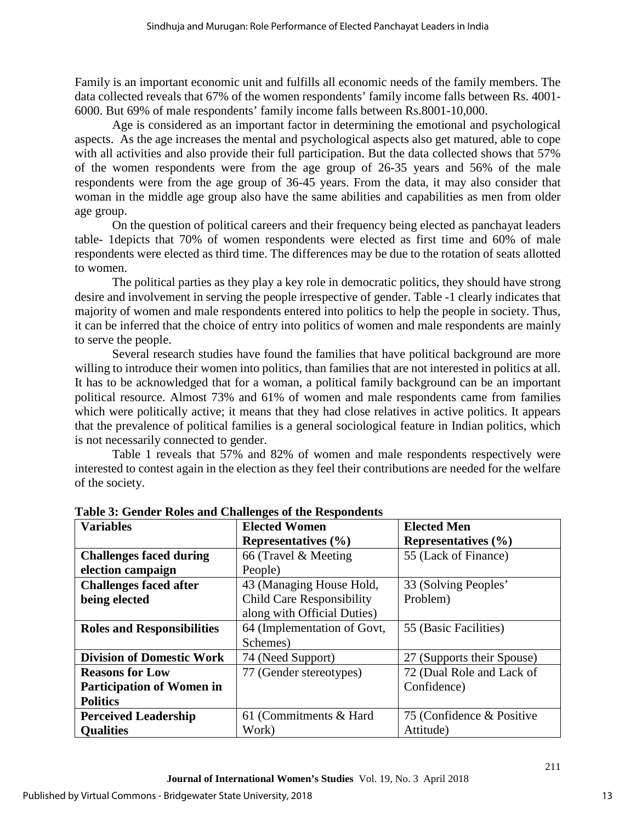Family is an important economic unit and fulfills all economic needs of the family members. The data collected reveals that 67% of the women respondents' family income falls between Rs. 4001- 6000. But 69% of male respondents' family income falls between Rs.8001-10,000.

Age is considered as an important factor in determining the emotional and psychological aspects. As the age increases the mental and psychological aspects also get matured, able to cope with all activities and also provide their full participation. But the data collected shows that 57% of the women respondents were from the age group of 26-35 years and 56% of the male respondents were from the age group of 36-45 years. From the data, it may also consider that woman in the middle age group also have the same abilities and capabilities as men from older age group.

On the question of political careers and their frequency being elected as panchayat leaders table- 1depicts that 70% of women respondents were elected as first time and 60% of male respondents were elected as third time. The differences may be due to the rotation of seats allotted to women.

The political parties as they play a key role in democratic politics, they should have strong desire and involvement in serving the people irrespective of gender. Table -1 clearly indicates that majority of women and male respondents entered into politics to help the people in society. Thus, it can be inferred that the choice of entry into politics of women and male respondents are mainly to serve the people.

Several research studies have found the families that have political background are more willing to introduce their women into politics, than families that are not interested in politics at all. It has to be acknowledged that for a woman, a political family background can be an important political resource. Almost 73% and 61% of women and male respondents came from families which were politically active; it means that they had close relatives in active politics. It appears that the prevalence of political families is a general sociological feature in Indian politics, which is not necessarily connected to gender.

Table 1 reveals that 57% and 82% of women and male respondents respectively were interested to contest again in the election as they feel their contributions are needed for the welfare of the society.

| <b>Variables</b>                  | <b>Elected Women</b>             | <b>Elected Men</b>         |
|-----------------------------------|----------------------------------|----------------------------|
|                                   | Representatives $(\% )$          | Representatives $(\% )$    |
| <b>Challenges faced during</b>    | 66 (Travel & Meeting)            | 55 (Lack of Finance)       |
| election campaign                 | People)                          |                            |
| <b>Challenges faced after</b>     | 43 (Managing House Hold,         | 33 (Solving Peoples'       |
| being elected                     | <b>Child Care Responsibility</b> | Problem)                   |
|                                   | along with Official Duties)      |                            |
| <b>Roles and Responsibilities</b> | 64 (Implementation of Govt,      | 55 (Basic Facilities)      |
|                                   | Schemes)                         |                            |
| <b>Division of Domestic Work</b>  | 74 (Need Support)                | 27 (Supports their Spouse) |
| <b>Reasons for Low</b>            | 77 (Gender stereotypes)          | 72 (Dual Role and Lack of  |
| <b>Participation of Women in</b>  |                                  | Confidence)                |
| <b>Politics</b>                   |                                  |                            |
| <b>Perceived Leadership</b>       | 61 (Commitments & Hard)          | 75 (Confidence & Positive  |
| <b>Qualities</b>                  | Work)                            | Attitude)                  |

**Table 3: Gender Roles and Challenges of the Respondents**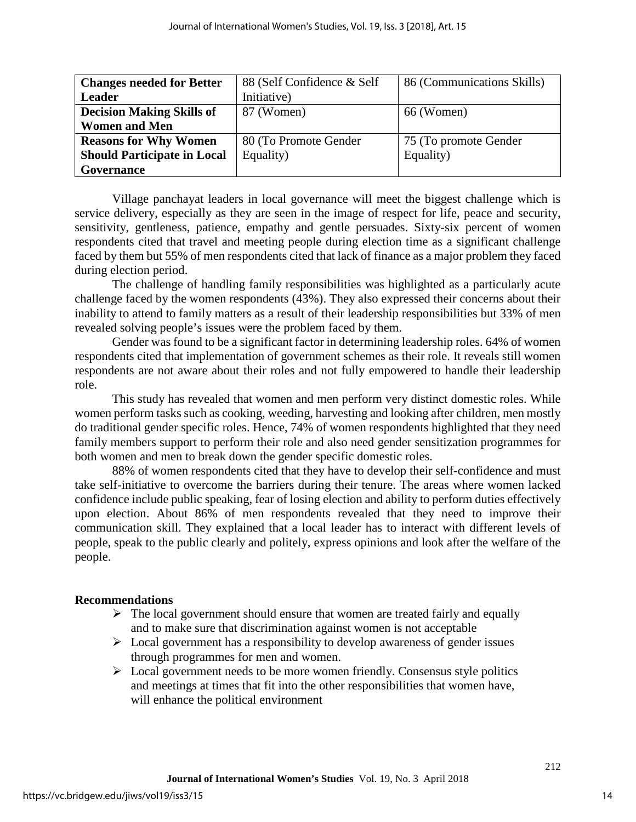| <b>Changes needed for Better</b>   | 88 (Self Confidence & Self | 86 (Communications Skills) |
|------------------------------------|----------------------------|----------------------------|
| <b>Leader</b>                      | Initiative)                |                            |
| <b>Decision Making Skills of</b>   | 87 (Women)                 | 66 (Women)                 |
| <b>Women and Men</b>               |                            |                            |
| <b>Reasons for Why Women</b>       | 80 (To Promote Gender      | 75 (To promote Gender      |
| <b>Should Participate in Local</b> | Equality)                  | Equality)                  |
| Governance                         |                            |                            |

Village panchayat leaders in local governance will meet the biggest challenge which is service delivery, especially as they are seen in the image of respect for life, peace and security, sensitivity, gentleness, patience, empathy and gentle persuades. Sixty-six percent of women respondents cited that travel and meeting people during election time as a significant challenge faced by them but 55% of men respondents cited that lack of finance as a major problem they faced during election period.

The challenge of handling family responsibilities was highlighted as a particularly acute challenge faced by the women respondents (43%). They also expressed their concerns about their inability to attend to family matters as a result of their leadership responsibilities but 33% of men revealed solving people's issues were the problem faced by them.

Gender was found to be a significant factor in determining leadership roles. 64% of women respondents cited that implementation of government schemes as their role. It reveals still women respondents are not aware about their roles and not fully empowered to handle their leadership role.

This study has revealed that women and men perform very distinct domestic roles. While women perform tasks such as cooking, weeding, harvesting and looking after children, men mostly do traditional gender specific roles. Hence, 74% of women respondents highlighted that they need family members support to perform their role and also need gender sensitization programmes for both women and men to break down the gender specific domestic roles.

88% of women respondents cited that they have to develop their self-confidence and must take self-initiative to overcome the barriers during their tenure. The areas where women lacked confidence include public speaking, fear of losing election and ability to perform duties effectively upon election. About 86% of men respondents revealed that they need to improve their communication skill. They explained that a local leader has to interact with different levels of people, speak to the public clearly and politely, express opinions and look after the welfare of the people.

#### **Recommendations**

- $\triangleright$  The local government should ensure that women are treated fairly and equally and to make sure that discrimination against women is not acceptable
- $\triangleright$  Local government has a responsibility to develop awareness of gender issues through programmes for men and women.
- $\triangleright$  Local government needs to be more women friendly. Consensus style politics and meetings at times that fit into the other responsibilities that women have, will enhance the political environment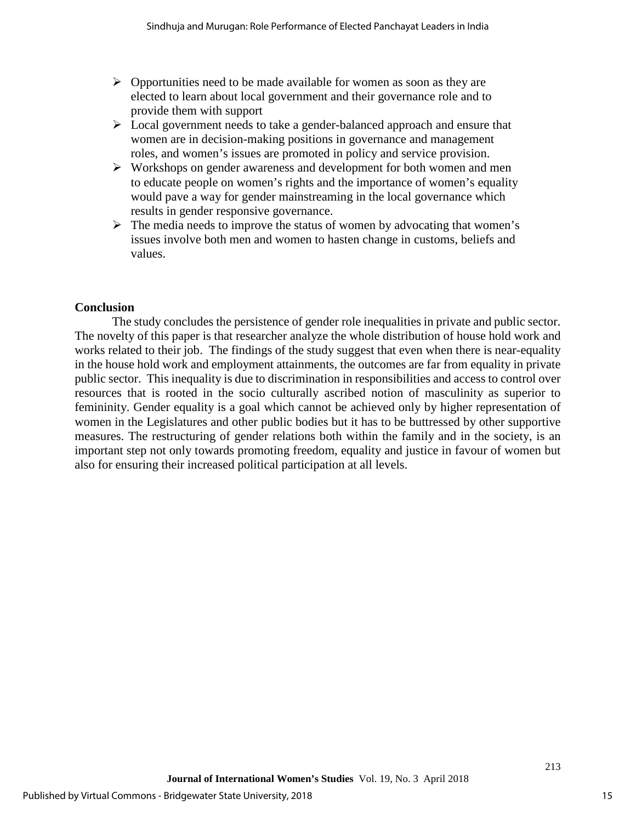- $\triangleright$  Opportunities need to be made available for women as soon as they are elected to learn about local government and their governance role and to provide them with support
- $\triangleright$  Local government needs to take a gender-balanced approach and ensure that women are in decision-making positions in governance and management roles, and women's issues are promoted in policy and service provision.
- $\triangleright$  Workshops on gender awareness and development for both women and men to educate people on women's rights and the importance of women's equality would pave a way for gender mainstreaming in the local governance which results in gender responsive governance.
- $\triangleright$  The media needs to improve the status of women by advocating that women's issues involve both men and women to hasten change in customs, beliefs and values.

#### **Conclusion**

The study concludes the persistence of gender role inequalities in private and public sector. The novelty of this paper is that researcher analyze the whole distribution of house hold work and works related to their job. The findings of the study suggest that even when there is near-equality in the house hold work and employment attainments, the outcomes are far from equality in private public sector. This inequality is due to discrimination in responsibilities and access to control over resources that is rooted in the socio culturally ascribed notion of masculinity as superior to femininity. Gender equality is a goal which cannot be achieved only by higher representation of women in the Legislatures and other public bodies but it has to be buttressed by other supportive measures. The restructuring of gender relations both within the family and in the society, is an important step not only towards promoting freedom, equality and justice in favour of women but also for ensuring their increased political participation at all levels.